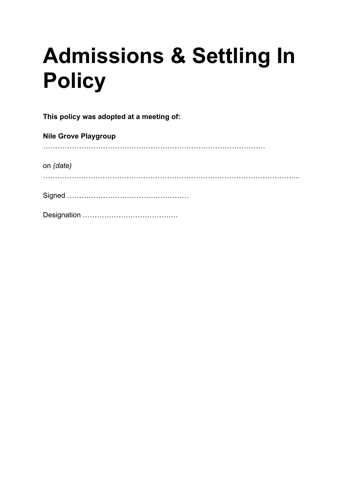# **Admissions & Settling In Policy**

**This policy was adopted at a meeting of:**

| <b>Nile Grove Playgroup</b> |
|-----------------------------|
|                             |
| on (date)                   |
|                             |
|                             |
|                             |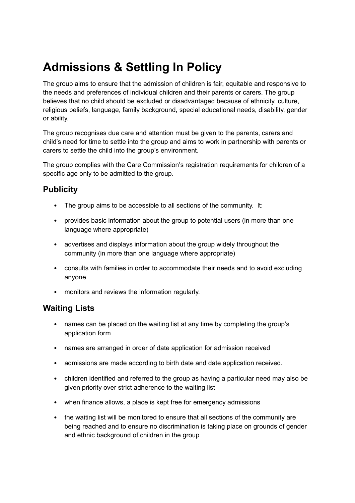# **Admissions & Settling In Policy**

The group aims to ensure that the admission of children is fair, equitable and responsive to the needs and preferences of individual children and their parents or carers. The group believes that no child should be excluded or disadvantaged because of ethnicity, culture, religious beliefs, language, family background, special educational needs, disability, gender or ability.

The group recognises due care and attention must be given to the parents, carers and child's need for time to settle into the group and aims to work in partnership with parents or carers to settle the child into the group's environment.

The group complies with the Care Commission's registration requirements for children of a specific age only to be admitted to the group.

# **Publicity**

- The group aims to be accessible to all sections of the community. It:
- provides basic information about the group to potential users (in more than one language where appropriate)
- advertises and displays information about the group widely throughout the community (in more than one language where appropriate)
- consults with families in order to accommodate their needs and to avoid excluding anyone
- monitors and reviews the information regularly.

#### **Waiting Lists**

- names can be placed on the waiting list at any time by completing the group's application form
- names are arranged in order of date application for admission received
- admissions are made according to birth date and date application received.
- children identified and referred to the group as having a particular need may also be given priority over strict adherence to the waiting list
- when finance allows, a place is kept free for emergency admissions
- the waiting list will be monitored to ensure that all sections of the community are being reached and to ensure no discrimination is taking place on grounds of gender and ethnic background of children in the group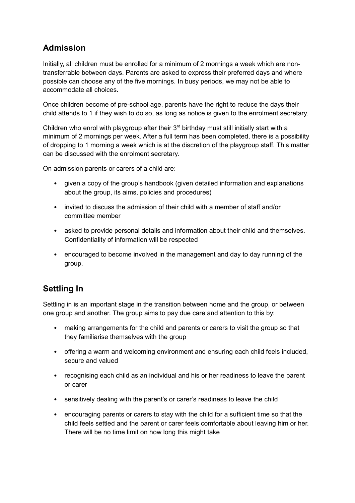# **Admission**

Initially, all children must be enrolled for a minimum of 2 mornings a week which are nontransferrable between days. Parents are asked to express their preferred days and where possible can choose any of the five mornings. In busy periods, we may not be able to accommodate all choices.

Once children become of pre-school age, parents have the right to reduce the days their child attends to 1 if they wish to do so, as long as notice is given to the enrolment secretary.

Children who enrol with playgroup after their  $3<sup>rd</sup>$  birthday must still initially start with a minimum of 2 mornings per week. After a full term has been completed, there is a possibility of dropping to 1 morning a week which is at the discretion of the playgroup staff. This matter can be discussed with the enrolment secretary.

On admission parents or carers of a child are:

- given a copy of the group's handbook (given detailed information and explanations about the group, its aims, policies and procedures)
- invited to discuss the admission of their child with a member of staff and/or committee member
- asked to provide personal details and information about their child and themselves. Confidentiality of information will be respected
- encouraged to become involved in the management and day to day running of the group.

# **Settling In**

Settling in is an important stage in the transition between home and the group, or between one group and another. The group aims to pay due care and attention to this by:

- making arrangements for the child and parents or carers to visit the group so that they familiarise themselves with the group
- offering a warm and welcoming environment and ensuring each child feels included, secure and valued
- recognising each child as an individual and his or her readiness to leave the parent or carer
- sensitively dealing with the parent's or carer's readiness to leave the child
- encouraging parents or carers to stay with the child for a sufficient time so that the child feels settled and the parent or carer feels comfortable about leaving him or her. There will be no time limit on how long this might take